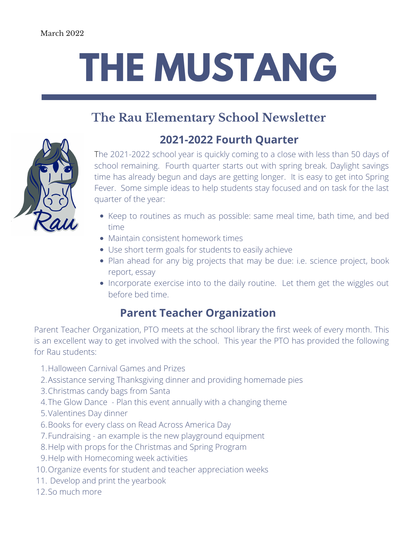## **THE MUSTANG**

## **The Rau Elementary School Newsletter**



The 2021-2022 school year is quickly coming to a close with less than 50 days of school remaining. Fourth quarter starts out with spring break. Daylight savings time has already begun and days are getting longer. It is easy to get into Spring Fever. Some simple ideas to help students stay focused and on task for the last **2021-2022 Fourth Quarter**

- Keep to routines as much as possible: same meal time, bath time, and bed time
- Maintain consistent homework times

quarter of the year:

- Use short term goals for students to easily achieve
- Plan ahead for any big projects that may be due: i.e. science project, book report, essay
- Incorporate exercise into to the daily routine. Let them get the wiggles out before bed time.

## **Parent Teacher Organization**

Parent Teacher Organization, PTO meets at the school library the first week of every month. This is an excellent way to get involved with the school. This year the PTO has provided the following for Rau students:

- Halloween Carnival Games and Prizes 1.
- Assistance serving Thanksgiving dinner and providing homemade pies 2.
- 3. Christmas candy bags from Santa
- The Glow Dance Plan this event annually with a changing theme 4.
- 5. Valentines Day dinner
- Books for every class on Read Across America Day 6.
- Fundraising an example is the new playground equipment 7.
- 8. Help with props for the Christmas and Spring Program
- 9. Help with Homecoming week activities
- 10. Organize events for student and teacher appreciation weeks
- 11. Develop and print the yearbook
- 12. So much more